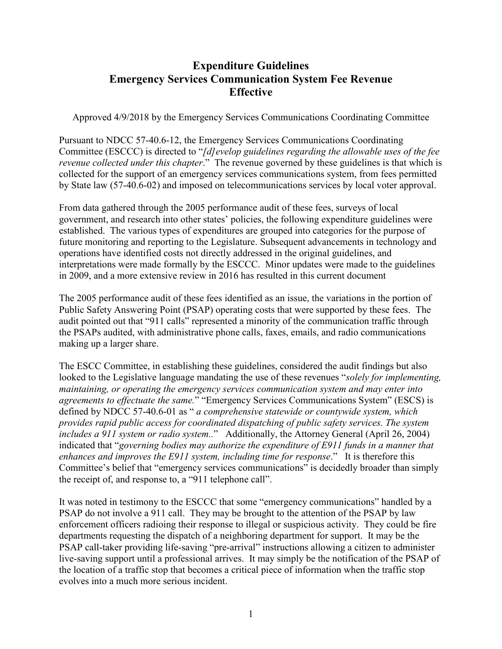# **Expenditure Guidelines Emergency Services Communication System Fee Revenue Effective**

Approved 4/9/2018 by the Emergency Services Communications Coordinating Committee

Pursuant to NDCC 57-40.6-12, the Emergency Services Communications Coordinating Committee (ESCCC) is directed to "*[d]evelop guidelines regarding the allowable uses of the fee revenue collected under this chapter*." The revenue governed by these guidelines is that which is collected for the support of an emergency services communications system, from fees permitted by State law (57-40.6-02) and imposed on telecommunications services by local voter approval.

From data gathered through the 2005 performance audit of these fees, surveys of local government, and research into other states' policies, the following expenditure guidelines were established. The various types of expenditures are grouped into categories for the purpose of future monitoring and reporting to the Legislature. Subsequent advancements in technology and operations have identified costs not directly addressed in the original guidelines, and interpretations were made formally by the ESCCC. Minor updates were made to the guidelines in 2009, and a more extensive review in 2016 has resulted in this current document

The 2005 performance audit of these fees identified as an issue, the variations in the portion of Public Safety Answering Point (PSAP) operating costs that were supported by these fees. The audit pointed out that "911 calls" represented a minority of the communication traffic through the PSAPs audited, with administrative phone calls, faxes, emails, and radio communications making up a larger share.

The ESCC Committee, in establishing these guidelines, considered the audit findings but also looked to the Legislative language mandating the use of these revenues "*solely for implementing, maintaining, or operating the emergency services communication system and may enter into agreements to effectuate the same.*" "Emergency Services Communications System" (ESCS) is defined by NDCC 57-40.6-01 as " *a comprehensive statewide or countywide system, which provides rapid public access for coordinated dispatching of public safety services. The system includes a 911 system or radio system..*" Additionally, the Attorney General (April 26, 2004) indicated that "*governing bodies may authorize the expenditure of E911 funds in a manner that enhances and improves the E911 system, including time for response*." It is therefore this Committee's belief that "emergency services communications" is decidedly broader than simply the receipt of, and response to, a "911 telephone call".

It was noted in testimony to the ESCCC that some "emergency communications" handled by a PSAP do not involve a 911 call. They may be brought to the attention of the PSAP by law enforcement officers radioing their response to illegal or suspicious activity. They could be fire departments requesting the dispatch of a neighboring department for support. It may be the PSAP call-taker providing life-saving "pre-arrival" instructions allowing a citizen to administer live-saving support until a professional arrives. It may simply be the notification of the PSAP of the location of a traffic stop that becomes a critical piece of information when the traffic stop evolves into a much more serious incident.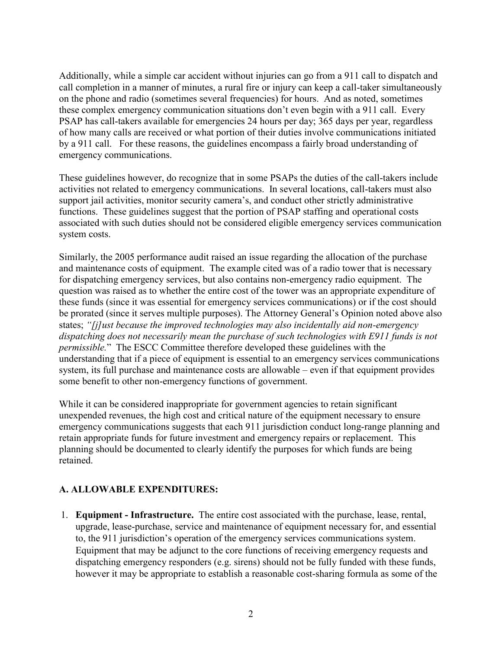Additionally, while a simple car accident without injuries can go from a 911 call to dispatch and call completion in a manner of minutes, a rural fire or injury can keep a call-taker simultaneously on the phone and radio (sometimes several frequencies) for hours. And as noted, sometimes these complex emergency communication situations don't even begin with a 911 call. Every PSAP has call-takers available for emergencies 24 hours per day; 365 days per year, regardless of how many calls are received or what portion of their duties involve communications initiated by a 911 call. For these reasons, the guidelines encompass a fairly broad understanding of emergency communications.

These guidelines however, do recognize that in some PSAPs the duties of the call-takers include activities not related to emergency communications. In several locations, call-takers must also support jail activities, monitor security camera's, and conduct other strictly administrative functions. These guidelines suggest that the portion of PSAP staffing and operational costs associated with such duties should not be considered eligible emergency services communication system costs.

Similarly, the 2005 performance audit raised an issue regarding the allocation of the purchase and maintenance costs of equipment. The example cited was of a radio tower that is necessary for dispatching emergency services, but also contains non-emergency radio equipment. The question was raised as to whether the entire cost of the tower was an appropriate expenditure of these funds (since it was essential for emergency services communications) or if the cost should be prorated (since it serves multiple purposes). The Attorney General's Opinion noted above also states; *"[j]ust because the improved technologies may also incidentally aid non-emergency dispatching does not necessarily mean the purchase of such technologies with E911 funds is not permissible.*" The ESCC Committee therefore developed these guidelines with the understanding that if a piece of equipment is essential to an emergency services communications system, its full purchase and maintenance costs are allowable – even if that equipment provides some benefit to other non-emergency functions of government.

While it can be considered inappropriate for government agencies to retain significant unexpended revenues, the high cost and critical nature of the equipment necessary to ensure emergency communications suggests that each 911 jurisdiction conduct long-range planning and retain appropriate funds for future investment and emergency repairs or replacement. This planning should be documented to clearly identify the purposes for which funds are being retained.

## **A. ALLOWABLE EXPENDITURES:**

1. **Equipment - Infrastructure.** The entire cost associated with the purchase, lease, rental, upgrade, lease-purchase, service and maintenance of equipment necessary for, and essential to, the 911 jurisdiction's operation of the emergency services communications system. Equipment that may be adjunct to the core functions of receiving emergency requests and dispatching emergency responders (e.g. sirens) should not be fully funded with these funds, however it may be appropriate to establish a reasonable cost-sharing formula as some of the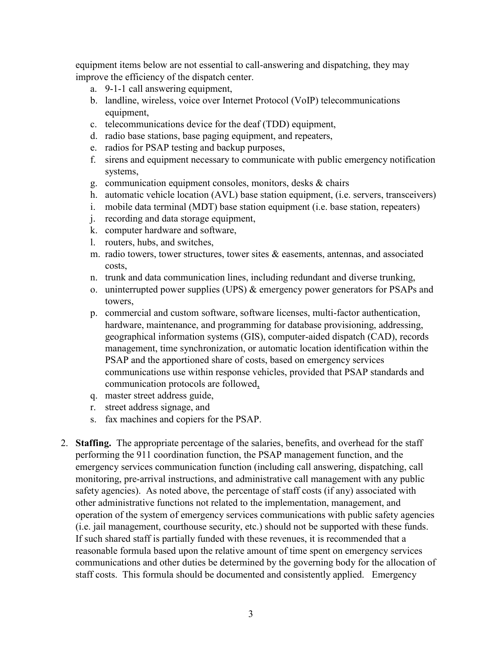equipment items below are not essential to call-answering and dispatching, they may improve the efficiency of the dispatch center.

- a. 9-1-1 call answering equipment,
- b. landline, wireless, voice over Internet Protocol (VoIP) telecommunications equipment,
- c. telecommunications device for the deaf (TDD) equipment,
- d. radio base stations, base paging equipment, and repeaters,
- e. radios for PSAP testing and backup purposes,
- f. sirens and equipment necessary to communicate with public emergency notification systems,
- g. communication equipment consoles, monitors, desks & chairs
- h. automatic vehicle location (AVL) base station equipment, (i.e. servers, transceivers)
- i. mobile data terminal (MDT) base station equipment (i.e. base station, repeaters)
- j. recording and data storage equipment,
- k. computer hardware and software,
- l. routers, hubs, and switches,
- m. radio towers, tower structures, tower sites & easements, antennas, and associated costs,
- n. trunk and data communication lines, including redundant and diverse trunking,
- o. uninterrupted power supplies (UPS) & emergency power generators for PSAPs and towers,
- p. commercial and custom software, software licenses, multi-factor authentication, hardware, maintenance, and programming for database provisioning, addressing, geographical information systems (GIS), computer-aided dispatch (CAD), records management, time synchronization, or automatic location identification within the PSAP and the apportioned share of costs, based on emergency services communications use within response vehicles, provided that PSAP standards and communication protocols are followed,
- q. master street address guide,
- r. street address signage, and
- s. fax machines and copiers for the PSAP.
- 2. **Staffing.** The appropriate percentage of the salaries, benefits, and overhead for the staff performing the 911 coordination function, the PSAP management function, and the emergency services communication function (including call answering, dispatching, call monitoring, pre-arrival instructions, and administrative call management with any public safety agencies). As noted above, the percentage of staff costs (if any) associated with other administrative functions not related to the implementation, management, and operation of the system of emergency services communications with public safety agencies (i.e. jail management, courthouse security, etc.) should not be supported with these funds. If such shared staff is partially funded with these revenues, it is recommended that a reasonable formula based upon the relative amount of time spent on emergency services communications and other duties be determined by the governing body for the allocation of staff costs. This formula should be documented and consistently applied. Emergency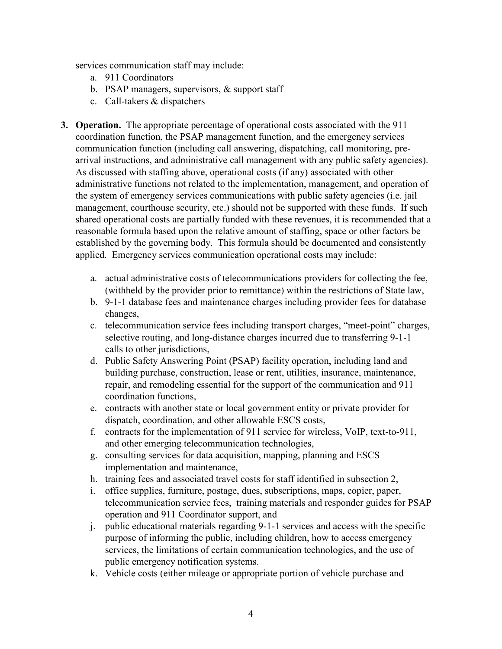services communication staff may include:

- a. 911 Coordinators
- b. PSAP managers, supervisors, & support staff
- c. Call-takers & dispatchers
- **3. Operation.** The appropriate percentage of operational costs associated with the 911 coordination function, the PSAP management function, and the emergency services communication function (including call answering, dispatching, call monitoring, prearrival instructions, and administrative call management with any public safety agencies). As discussed with staffing above, operational costs (if any) associated with other administrative functions not related to the implementation, management, and operation of the system of emergency services communications with public safety agencies (i.e. jail management, courthouse security, etc.) should not be supported with these funds. If such shared operational costs are partially funded with these revenues, it is recommended that a reasonable formula based upon the relative amount of staffing, space or other factors be established by the governing body. This formula should be documented and consistently applied. Emergency services communication operational costs may include:
	- a. actual administrative costs of telecommunications providers for collecting the fee, (withheld by the provider prior to remittance) within the restrictions of State law,
	- b. 9-1-1 database fees and maintenance charges including provider fees for database changes,
	- c. telecommunication service fees including transport charges, "meet-point" charges, selective routing, and long-distance charges incurred due to transferring 9-1-1 calls to other jurisdictions,
	- d. Public Safety Answering Point (PSAP) facility operation, including land and building purchase, construction, lease or rent, utilities, insurance, maintenance, repair, and remodeling essential for the support of the communication and 911 coordination functions,
	- e. contracts with another state or local government entity or private provider for dispatch, coordination, and other allowable ESCS costs,
	- f. contracts for the implementation of 911 service for wireless, VoIP, text-to-911, and other emerging telecommunication technologies,
	- g. consulting services for data acquisition, mapping, planning and ESCS implementation and maintenance,
	- h. training fees and associated travel costs for staff identified in subsection 2,
	- i. office supplies, furniture, postage, dues, subscriptions, maps, copier, paper, telecommunication service fees, training materials and responder guides for PSAP operation and 911 Coordinator support, and
	- j. public educational materials regarding 9-1-1 services and access with the specific purpose of informing the public, including children, how to access emergency services, the limitations of certain communication technologies, and the use of public emergency notification systems.
	- k. Vehicle costs (either mileage or appropriate portion of vehicle purchase and